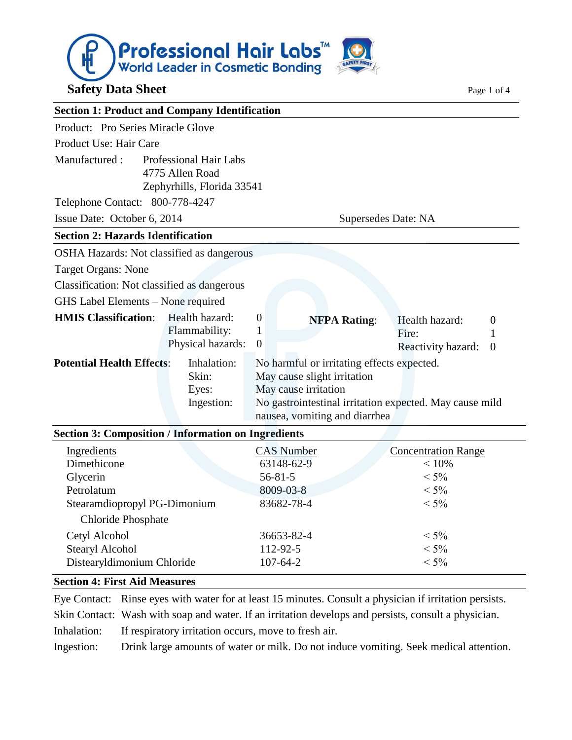

#### **Section 4: First Aid Measures**

Eye Contact: Rinse eyes with water for at least 15 minutes. Consult a physician if irritation persists. Skin Contact: Wash with soap and water. If an irritation develops and persists, consult a physician. Inhalation: If respiratory irritation occurs, move to fresh air. Ingestion: Drink large amounts of water or milk. Do not induce vomiting. Seek medical attention.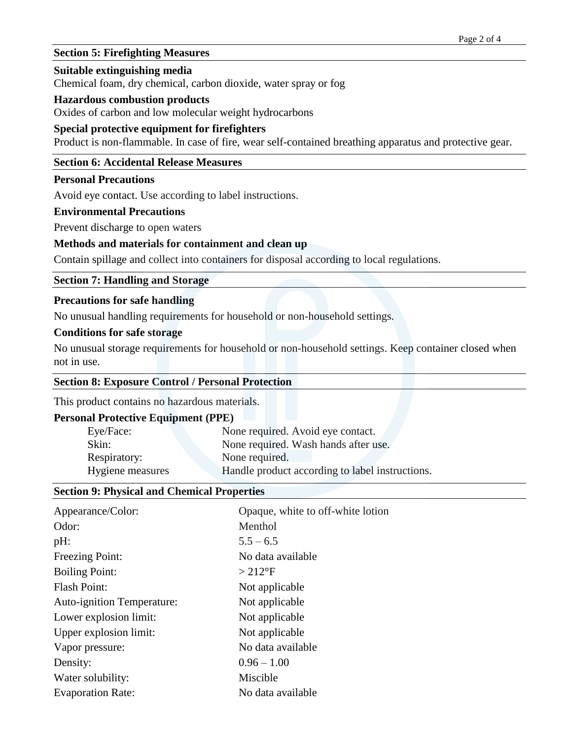## **Section 5: Firefighting Measures**

#### **Suitable extinguishing media**

Chemical foam, dry chemical, carbon dioxide, water spray or fog

#### **Hazardous combustion products**

Oxides of carbon and low molecular weight hydrocarbons

### **Special protective equipment for firefighters**

Product is non-flammable. In case of fire, wear self-contained breathing apparatus and protective gear.

# **Section 6: Accidental Release Measures**

# **Personal Precautions**

Avoid eye contact. Use according to label instructions.

#### **Environmental Precautions**

Prevent discharge to open waters

### **Methods and materials for containment and clean up**

Contain spillage and collect into containers for disposal according to local regulations.

### **Section 7: Handling and Storage**

#### **Precautions for safe handling**

No unusual handling requirements for household or non-household settings.

#### **Conditions for safe storage**

No unusual storage requirements for household or non-household settings. Keep container closed when not in use.

#### **Section 8: Exposure Control / Personal Protection**

This product contains no hazardous materials.

### **Personal Protective Equipment (PPE)**

| Eye/Face:        | None required. Avoid eye contact.               |  |
|------------------|-------------------------------------------------|--|
| Skin:            | None required. Wash hands after use.            |  |
| Respiratory:     | None required.                                  |  |
| Hygiene measures | Handle product according to label instructions. |  |

### **Section 9: Physical and Chemical Properties**

| Appearance/Color:          | Opaque, white to off-white lotion |
|----------------------------|-----------------------------------|
| Odor:                      | Menthol                           |
| pH:                        | $5.5 - 6.5$                       |
| Freezing Point:            | No data available                 |
| <b>Boiling Point:</b>      | $>212$ °F                         |
| Flash Point:               | Not applicable                    |
| Auto-ignition Temperature: | Not applicable                    |
| Lower explosion limit:     | Not applicable                    |
| Upper explosion limit:     | Not applicable                    |
| Vapor pressure:            | No data available                 |
| Density:                   | $0.96 - 1.00$                     |
| Water solubility:          | Miscible                          |
| <b>Evaporation Rate:</b>   | No data available                 |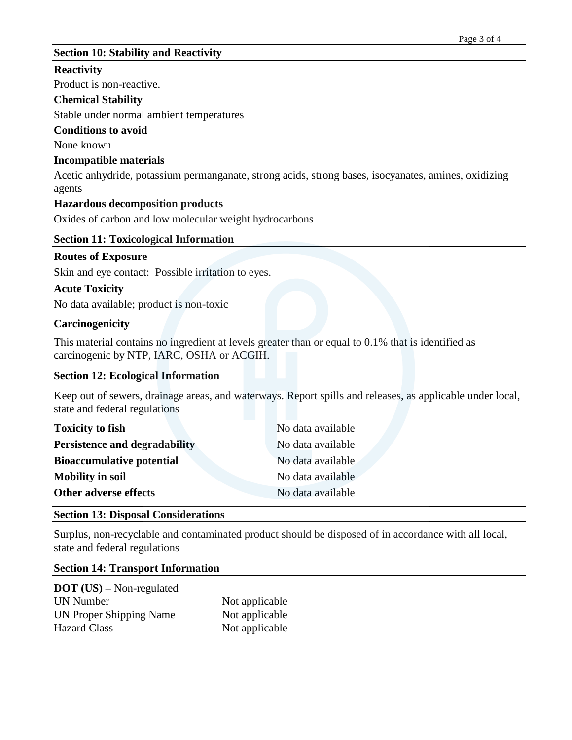# **Section 10: Stability and Reactivity**

### **Reactivity**

Product is non-reactive.

## **Chemical Stability**

Stable under normal ambient temperatures

## **Conditions to avoid**

None known

## **Incompatible materials**

Acetic anhydride, potassium permanganate, strong acids, strong bases, isocyanates, amines, oxidizing agents

## **Hazardous decomposition products**

Oxides of carbon and low molecular weight hydrocarbons

## **Section 11: Toxicological Information**

## **Routes of Exposure**

Skin and eye contact: Possible irritation to eyes.

# **Acute Toxicity**

No data available; product is non-toxic

## **Carcinogenicity**

This material contains no ingredient at levels greater than or equal to 0.1% that is identified as carcinogenic by NTP, IARC, OSHA or ACGIH.

### **Section 12: Ecological Information**

Keep out of sewers, drainage areas, and waterways. Report spills and releases, as applicable under local, state and federal regulations

| <b>Toxicity to fish</b>              | No data available |
|--------------------------------------|-------------------|
| <b>Persistence and degradability</b> | No data available |
| <b>Bioaccumulative potential</b>     | No data available |
| <b>Mobility in soil</b>              | No data available |
| Other adverse effects                | No data available |

# **Section 13: Disposal Considerations**

Surplus, non-recyclable and contaminated product should be disposed of in accordance with all local, state and federal regulations

### **Section 14: Transport Information**

**DOT (US) –** Non-regulated UN Number Not applicable UN Proper Shipping Name Not applicable Hazard Class Not applicable